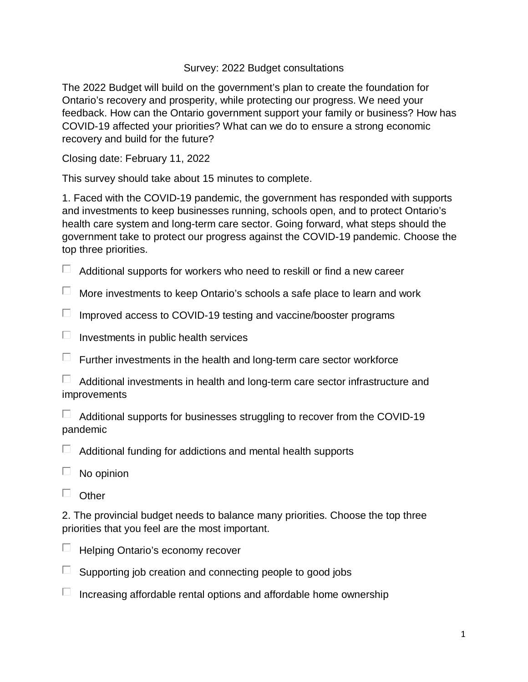Survey: 2022 Budget consultations

The 2022 Budget will build on the government's plan to create the foundation for Ontario's recovery and prosperity, while protecting our progress. We need your feedback. How can the Ontario government support your family or business? How has COVID-19 affected your priorities? What can we do to ensure a strong economic recovery and build for the future?

Closing date: February 11, 2022

This survey should take about 15 minutes to complete.

1. Faced with the COVID-19 pandemic, the government has responded with supports and investments to keep businesses running, schools open, and to protect Ontario's health care system and long-term care sector. Going forward, what steps should the government take to protect our progress against the COVID-19 pandemic. Choose the top three priorities.

 $\Box$  Additional supports for workers who need to reskill or find a new career

 $\Box$  More investments to keep Ontario's schools a safe place to learn and work

 $\Box$  Improved access to COVID-19 testing and vaccine/booster programs

 $\Box$  Investments in public health services

 $\Box$  Further investments in the health and long-term care sector workforce

| Additional investments in health and long-term care sector infrastructure and |  |  |
|-------------------------------------------------------------------------------|--|--|
| improvements                                                                  |  |  |

 $\Box$  Additional supports for businesses struggling to recover from the COVID-19 pandemic

 $\Box$  Additional funding for addictions and mental health supports

|  | No opinion |
|--|------------|
|--|------------|

 $\Box$  Other

2. The provincial budget needs to balance many priorities. Choose the top three priorities that you feel are the most important.



- $\Box$  Supporting job creation and connecting people to good jobs
- $\Box$  Increasing affordable rental options and affordable home ownership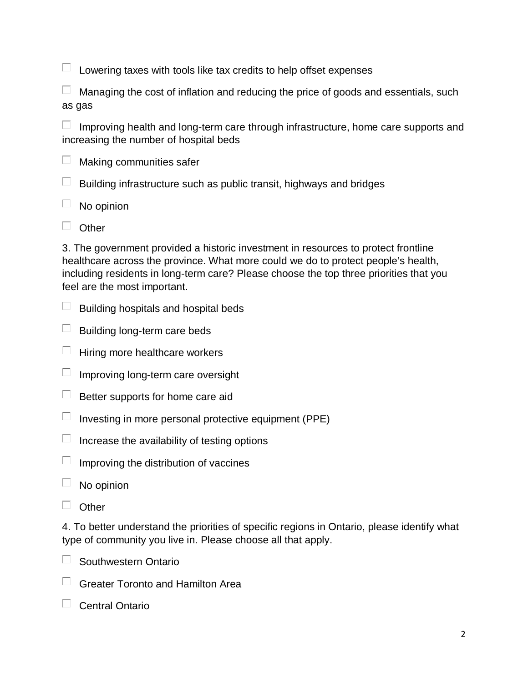$\Box$  Lowering taxes with tools like tax credits to help offset expenses

 $\Box$  Managing the cost of inflation and reducing the price of goods and essentials, such as gas

 $\Box$  Improving health and long-term care through infrastructure, home care supports and increasing the number of hospital beds

 $\Box$ Making communities safer

 $\Box$ Building infrastructure such as public transit, highways and bridges

 $\Box$ No opinion

 $\Box$  Other

3. The government provided a historic investment in resources to protect frontline healthcare across the province. What more could we do to protect people's health, including residents in long-term care? Please choose the top three priorities that you feel are the most important.

- $\Box$  Building hospitals and hospital beds
- $\Box$  Building long-term care beds
- $\Box$  Hiring more healthcare workers
- $\Box$  Improving long-term care oversight
- $\Box$  Better supports for home care aid
- $\Box$  Investing in more personal protective equipment (PPE)
- $\Box$  Increase the availability of testing options
- $\Box$  Improving the distribution of vaccines
- $\Box$ No opinion
- $\Box$  Other

4. To better understand the priorities of specific regions in Ontario, please identify what type of community you live in. Please choose all that apply.

- $\Box$  Southwestern Ontario
- $\Box$  Greater Toronto and Hamilton Area
- $\Box$  Central Ontario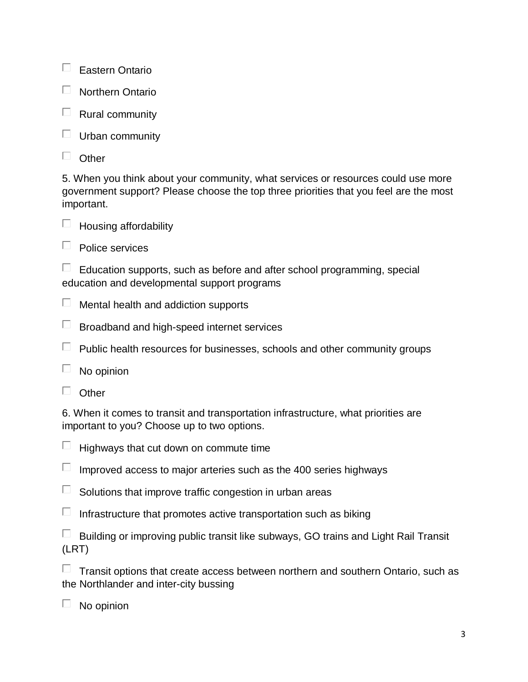$\Box$  Eastern Ontario

- $\Box$  Northern Ontario
- $\Box$  Rural community
- $\Box$  Urban community
- $\Box$  Other

5. When you think about your community, what services or resources could use more government support? Please choose the top three priorities that you feel are the most important.



 $\Box$  Housing affordability

 $\Box$  Police services

 $\Box$  Education supports, such as before and after school programming, special education and developmental support programs

- $\Box$  Mental health and addiction supports
- $\Box$  Broadband and high-speed internet services
- $\Box$  Public health resources for businesses, schools and other community groups
- $\Box$  No opinion
- $\Box$  Other

6. When it comes to transit and transportation infrastructure, what priorities are important to you? Choose up to two options.

- $\Box$  Highways that cut down on commute time
- $\Box$  Improved access to major arteries such as the 400 series highways
- $\Box$  Solutions that improve traffic congestion in urban areas
- $\Box$  Infrastructure that promotes active transportation such as biking

|       | Building or improving public transit like subways, GO trains and Light Rail Transit |  |
|-------|-------------------------------------------------------------------------------------|--|
| (LRT) |                                                                                     |  |

 $\Box$  Transit options that create access between northern and southern Ontario, such as the Northlander and inter-city bussing

 $\Box$  No opinion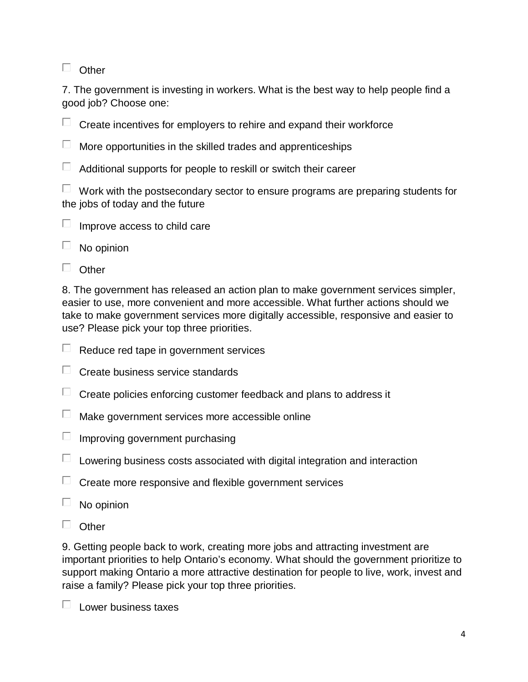$\Box$  Other

7. The government is investing in workers. What is the best way to help people find a good job? Choose one:

 $\Box$  Create incentives for employers to rehire and expand their workforce

 $\Box$  More opportunities in the skilled trades and apprenticeships

 $\Box$  Additional supports for people to reskill or switch their career

 $\Box$  Work with the postsecondary sector to ensure programs are preparing students for the jobs of today and the future

|  | Improve access to child care |  |  |  |  |
|--|------------------------------|--|--|--|--|
|--|------------------------------|--|--|--|--|

 $\Box$  No opinion

 $\Box$  Other

8. The government has released an action plan to make government services simpler, easier to use, more convenient and more accessible. What further actions should we take to make government services more digitally accessible, responsive and easier to use? Please pick your top three priorities.

- $\Box$  Reduce red tape in government services
- $\Box$  Create business service standards
- $\Box$  Create policies enforcing customer feedback and plans to address it
- $\Box$  Make government services more accessible online
- $\Box$  Improving government purchasing
- $\Box$  Lowering business costs associated with digital integration and interaction
- $\Box$  Create more responsive and flexible government services
- $\Box$  No opinion
- $\Box$  Other

9. Getting people back to work, creating more jobs and attracting investment are important priorities to help Ontario's economy. What should the government prioritize to support making Ontario a more attractive destination for people to live, work, invest and raise a family? Please pick your top three priorities.

 $\Box$  Lower business taxes